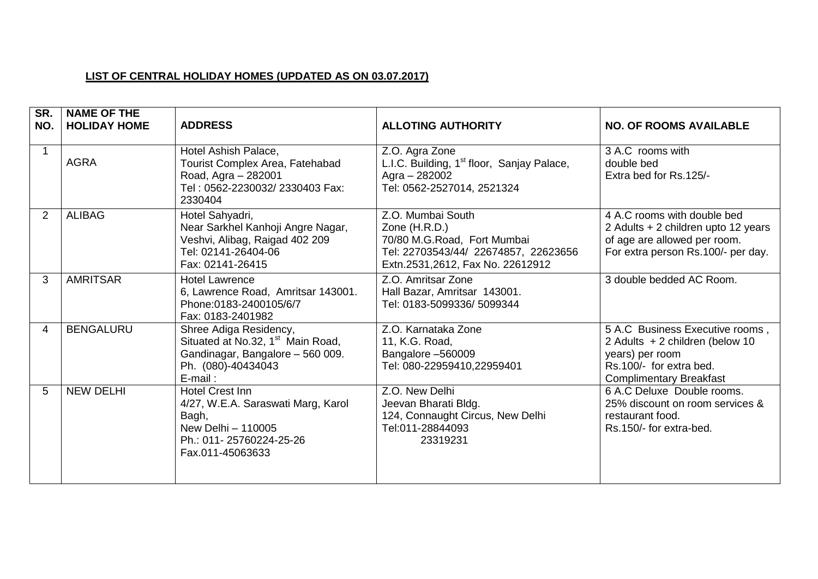## **LIST OF CENTRAL HOLIDAY HOMES (UPDATED AS ON 03.07.2017)**

| SR.<br>NO.     | <b>NAME OF THE</b><br><b>HOLIDAY HOME</b> | <b>ADDRESS</b>                                                                                                                               | <b>ALLOTING AUTHORITY</b>                                                                                                                     | <b>NO. OF ROOMS AVAILABLE</b>                                                                                                                      |
|----------------|-------------------------------------------|----------------------------------------------------------------------------------------------------------------------------------------------|-----------------------------------------------------------------------------------------------------------------------------------------------|----------------------------------------------------------------------------------------------------------------------------------------------------|
|                | <b>AGRA</b>                               | Hotel Ashish Palace,<br>Tourist Complex Area, Fatehabad<br>Road, Agra - 282001<br>Tel: 0562-2230032/2330403 Fax:<br>2330404                  | Z.O. Agra Zone<br>L.I.C. Building, 1 <sup>st</sup> floor, Sanjay Palace,<br>Agra - 282002<br>Tel: 0562-2527014, 2521324                       | 3 A.C rooms with<br>double bed<br>Extra bed for Rs.125/-                                                                                           |
| $\overline{2}$ | <b>ALIBAG</b>                             | Hotel Sahyadri,<br>Near Sarkhel Kanhoji Angre Nagar,<br>Veshvi, Alibag, Raigad 402 209<br>Tel: 02141-26404-06<br>Fax: 02141-26415            | Z.O. Mumbai South<br>Zone (H.R.D.)<br>70/80 M.G.Road, Fort Mumbai<br>Tel: 22703543/44/ 22674857, 22623656<br>Extn.2531,2612, Fax No. 22612912 | 4 A.C rooms with double bed<br>2 Adults + 2 children upto 12 years<br>of age are allowed per room.<br>For extra person Rs.100/- per day.           |
| 3              | <b>AMRITSAR</b>                           | <b>Hotel Lawrence</b><br>6, Lawrence Road, Amritsar 143001.<br>Phone: 0183-2400105/6/7<br>Fax: 0183-2401982                                  | Z.O. Amritsar Zone<br>Hall Bazar, Amritsar 143001.<br>Tel: 0183-5099336/ 5099344                                                              | 3 double bedded AC Room.                                                                                                                           |
| 4              | <b>BENGALURU</b>                          | Shree Adiga Residency,<br>Situated at No.32, 1 <sup>st</sup> Main Road,<br>Gandinagar, Bangalore - 560 009.<br>Ph. (080)-40434043<br>E-mail: | Z.O. Karnataka Zone<br>11, K.G. Road,<br>Bangalore -560009<br>Tel: 080-22959410,22959401                                                      | 5 A.C Business Executive rooms,<br>2 Adults + 2 children (below 10<br>years) per room<br>Rs.100/- for extra bed.<br><b>Complimentary Breakfast</b> |
| 5              | <b>NEW DELHI</b>                          | <b>Hotel Crest Inn</b><br>4/27, W.E.A. Saraswati Marg, Karol<br>Bagh,<br>New Delhi - 110005<br>Ph.: 011-25760224-25-26<br>Fax.011-45063633   | Z.O. New Delhi<br>Jeevan Bharati Bldg.<br>124, Connaught Circus, New Delhi<br>Tel:011-28844093<br>23319231                                    | 6 A.C Deluxe Double rooms.<br>25% discount on room services &<br>restaurant food.<br>Rs.150/- for extra-bed.                                       |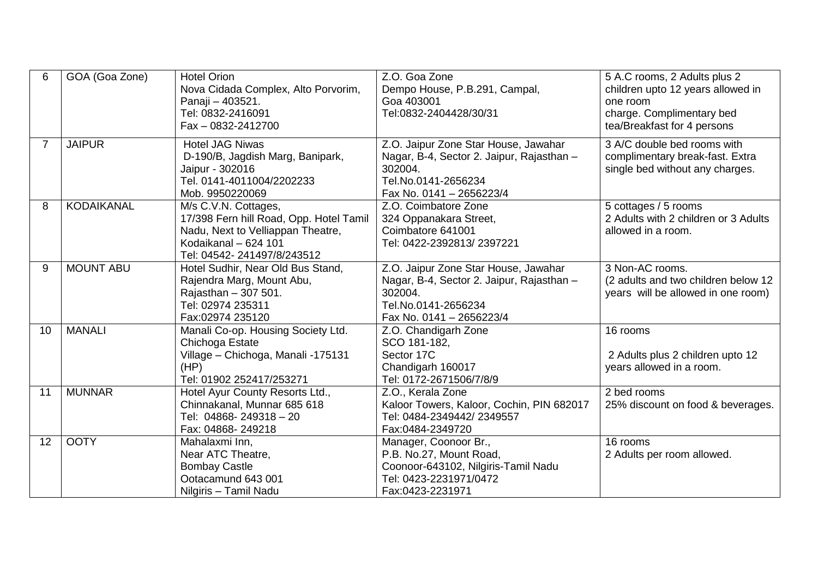| 6  | GOA (Goa Zone)    | <b>Hotel Orion</b><br>Nova Cidada Complex, Alto Porvorim,<br>Panaji - 403521.<br>Tel: 0832-2416091<br>Fax - 0832-2412700                                   | Z.O. Goa Zone<br>Dempo House, P.B.291, Campal,<br>Goa 403001<br>Tel:0832-2404428/30/31                                                          | 5 A.C rooms, 2 Adults plus 2<br>children upto 12 years allowed in<br>one room<br>charge. Complimentary bed<br>tea/Breakfast for 4 persons |
|----|-------------------|------------------------------------------------------------------------------------------------------------------------------------------------------------|-------------------------------------------------------------------------------------------------------------------------------------------------|-------------------------------------------------------------------------------------------------------------------------------------------|
| 7  | <b>JAIPUR</b>     | <b>Hotel JAG Niwas</b><br>D-190/B, Jagdish Marg, Banipark,<br>Jaipur - 302016<br>Tel. 0141-4011004/2202233<br>Mob. 9950220069                              | Z.O. Jaipur Zone Star House, Jawahar<br>Nagar, B-4, Sector 2. Jaipur, Rajasthan -<br>302004.<br>Tel.No.0141-2656234<br>Fax No. 0141 - 2656223/4 | 3 A/C double bed rooms with<br>complimentary break-fast. Extra<br>single bed without any charges.                                         |
| 8  | <b>KODAIKANAL</b> | M/s C.V.N. Cottages,<br>17/398 Fern hill Road, Opp. Hotel Tamil<br>Nadu, Next to Velliappan Theatre,<br>Kodaikanal - 624 101<br>Tel: 04542-241497/8/243512 | Z.O. Coimbatore Zone<br>324 Oppanakara Street,<br>Coimbatore 641001<br>Tel: 0422-2392813/2397221                                                | 5 cottages / 5 rooms<br>2 Adults with 2 children or 3 Adults<br>allowed in a room.                                                        |
| 9  | <b>MOUNT ABU</b>  | Hotel Sudhir, Near Old Bus Stand,<br>Rajendra Marg, Mount Abu,<br>Rajasthan - 307 501.<br>Tel: 02974 235311<br>Fax:02974 235120                            | Z.O. Jaipur Zone Star House, Jawahar<br>Nagar, B-4, Sector 2. Jaipur, Rajasthan -<br>302004.<br>Tel.No.0141-2656234<br>Fax No. 0141 - 2656223/4 | 3 Non-AC rooms.<br>(2 adults and two children below 12<br>years will be allowed in one room)                                              |
| 10 | <b>MANALI</b>     | Manali Co-op. Housing Society Ltd.<br>Chichoga Estate<br>Village - Chichoga, Manali -175131<br>(HP)<br>Tel: 01902 252417/253271                            | Z.O. Chandigarh Zone<br>SCO 181-182.<br>Sector 17C<br>Chandigarh 160017<br>Tel: 0172-2671506/7/8/9                                              | 16 rooms<br>2 Adults plus 2 children upto 12<br>years allowed in a room.                                                                  |
| 11 | <b>MUNNAR</b>     | Hotel Ayur County Resorts Ltd.,<br>Chinnakanal, Munnar 685 618<br>Tel: 04868-249318-20<br>Fax: 04868-249218                                                | Z.O., Kerala Zone<br>Kaloor Towers, Kaloor, Cochin, PIN 682017<br>Tel: 0484-2349442/2349557<br>Fax:0484-2349720                                 | 2 bed rooms<br>25% discount on food & beverages.                                                                                          |
| 12 | <b>OOTY</b>       | Mahalaxmi Inn,<br>Near ATC Theatre,<br><b>Bombay Castle</b><br>Ootacamund 643 001<br>Nilgiris - Tamil Nadu                                                 | Manager, Coonoor Br.,<br>P.B. No.27, Mount Road,<br>Coonoor-643102, Nilgiris-Tamil Nadu<br>Tel: 0423-2231971/0472<br>Fax:0423-2231971           | 16 rooms<br>2 Adults per room allowed.                                                                                                    |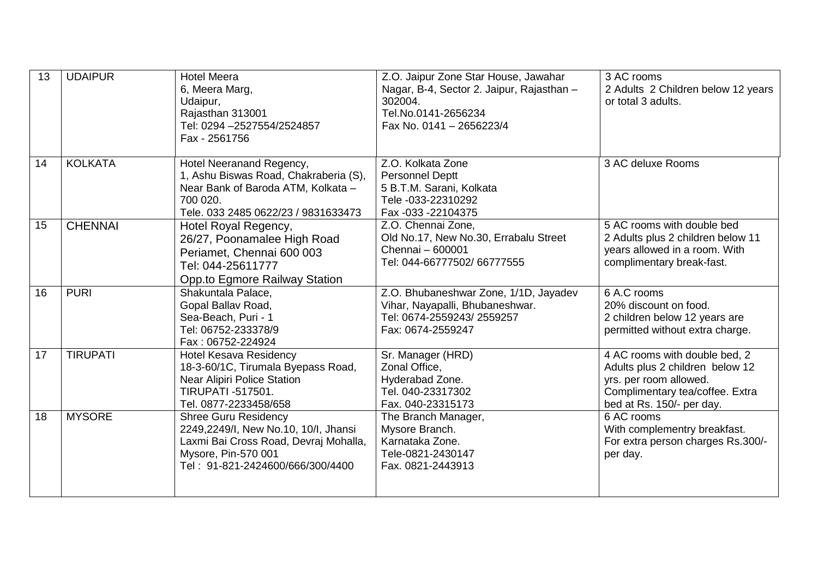| 13 | <b>UDAIPUR</b>  | <b>Hotel Meera</b><br>6, Meera Marg,<br>Udaipur,<br>Rajasthan 313001<br>Tel: 0294 - 2527554/2524857<br>Fax - 2561756                                                    | Z.O. Jaipur Zone Star House, Jawahar<br>Nagar, B-4, Sector 2. Jaipur, Rajasthan -<br>302004.<br>Tel.No.0141-2656234<br>Fax No. 0141 - 2656223/4 | 3 AC rooms<br>2 Adults 2 Children below 12 years<br>or total 3 adults.                                                                                     |
|----|-----------------|-------------------------------------------------------------------------------------------------------------------------------------------------------------------------|-------------------------------------------------------------------------------------------------------------------------------------------------|------------------------------------------------------------------------------------------------------------------------------------------------------------|
| 14 | <b>KOLKATA</b>  | Hotel Neeranand Regency,<br>1, Ashu Biswas Road, Chakraberia (S),<br>Near Bank of Baroda ATM, Kolkata -<br>700 020.<br>Tele. 033 2485 0622/23 / 9831633473              | Z.O. Kolkata Zone<br><b>Personnel Deptt</b><br>5 B.T.M. Sarani, Kolkata<br>Tele -033-22310292<br>Fax -033 -22104375                             | 3 AC deluxe Rooms                                                                                                                                          |
| 15 | <b>CHENNAI</b>  | Hotel Royal Regency,<br>26/27, Poonamalee High Road<br>Periamet, Chennai 600 003<br>Tel: 044-25611777<br>Opp.to Egmore Railway Station                                  | Z.O. Chennai Zone,<br>Old No.17, New No.30, Errabalu Street<br>Chennai - 600001<br>Tel: 044-66777502/ 66777555                                  | 5 AC rooms with double bed<br>2 Adults plus 2 children below 11<br>years allowed in a room. With<br>complimentary break-fast.                              |
| 16 | <b>PURI</b>     | Shakuntala Palace,<br>Gopal Ballav Road,<br>Sea-Beach, Puri - 1<br>Tel: 06752-233378/9<br>Fax: 06752-224924                                                             | Z.O. Bhubaneshwar Zone, 1/1D, Jayadev<br>Vihar, Nayapalli, Bhubaneshwar.<br>Tel: 0674-2559243/2559257<br>Fax: 0674-2559247                      | 6 A.C rooms<br>20% discount on food.<br>2 children below 12 years are<br>permitted without extra charge.                                                   |
| 17 | <b>TIRUPATI</b> | <b>Hotel Kesava Residency</b><br>18-3-60/1C, Tirumala Byepass Road,<br>Near Alipiri Police Station<br><b>TIRUPATI -517501.</b><br>Tel. 0877-2233458/658                 | Sr. Manager (HRD)<br>Zonal Office,<br>Hyderabad Zone.<br>Tel. 040-23317302<br>Fax. 040-23315173                                                 | 4 AC rooms with double bed, 2<br>Adults plus 2 children below 12<br>yrs. per room allowed.<br>Complimentary tea/coffee. Extra<br>bed at Rs. 150/- per day. |
| 18 | <b>MYSORE</b>   | <b>Shree Guru Residency</b><br>2249,2249/I, New No.10, 10/I, Jhansi<br>Laxmi Bai Cross Road, Devraj Mohalla,<br>Mysore, Pin-570 001<br>Tel: 91-821-2424600/666/300/4400 | The Branch Manager,<br>Mysore Branch.<br>Karnataka Zone.<br>Tele-0821-2430147<br>Fax. 0821-2443913                                              | 6 AC rooms<br>With complementry breakfast.<br>For extra person charges Rs.300/-<br>per day.                                                                |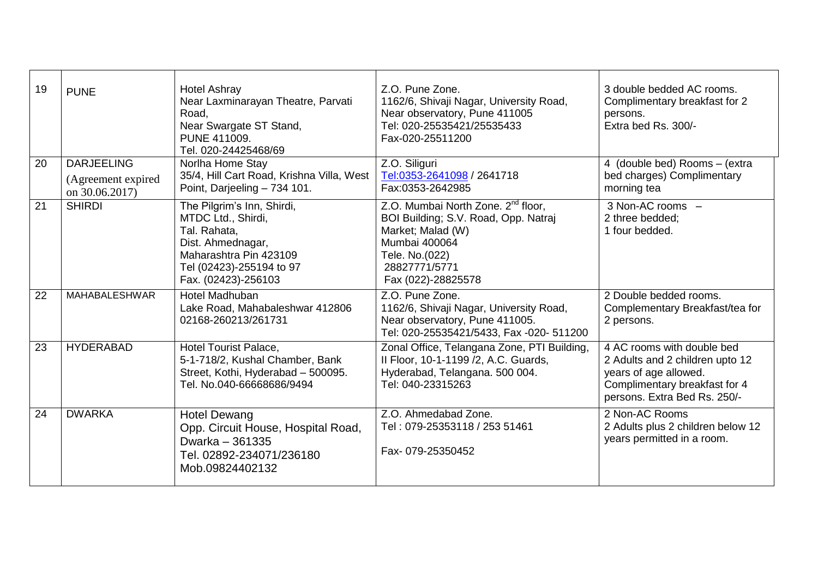| 19 | <b>PUNE</b>                                               | <b>Hotel Ashray</b><br>Near Laxminarayan Theatre, Parvati<br>Road,<br>Near Swargate ST Stand,<br>PUNE 411009.<br>Tel. 020-24425468/69                              | Z.O. Pune Zone.<br>1162/6, Shivaji Nagar, University Road,<br>Near observatory, Pune 411005<br>Tel: 020-25535421/25535433<br>Fax-020-25511200                                         | 3 double bedded AC rooms.<br>Complimentary breakfast for 2<br>persons.<br>Extra bed Rs. 300/-                                                           |
|----|-----------------------------------------------------------|--------------------------------------------------------------------------------------------------------------------------------------------------------------------|---------------------------------------------------------------------------------------------------------------------------------------------------------------------------------------|---------------------------------------------------------------------------------------------------------------------------------------------------------|
| 20 | <b>DARJEELING</b><br>(Agreement expired<br>on 30.06.2017) | Norlha Home Stay<br>35/4, Hill Cart Road, Krishna Villa, West<br>Point, Darjeeling - 734 101.                                                                      | Z.O. Siliguri<br>Tel:0353-2641098 / 2641718<br>Fax:0353-2642985                                                                                                                       | 4 (double bed) Rooms - (extra<br>bed charges) Complimentary<br>morning tea                                                                              |
| 21 | <b>SHIRDI</b>                                             | The Pilgrim's Inn, Shirdi,<br>MTDC Ltd., Shirdi,<br>Tal. Rahata,<br>Dist. Ahmednagar,<br>Maharashtra Pin 423109<br>Tel (02423)-255194 to 97<br>Fax. (02423)-256103 | Z.O. Mumbai North Zone. 2 <sup>nd</sup> floor,<br>BOI Building; S.V. Road, Opp. Natraj<br>Market; Malad (W)<br>Mumbai 400064<br>Tele. No.(022)<br>28827771/5771<br>Fax (022)-28825578 | 3 Non-AC rooms -<br>2 three bedded;<br>1 four bedded.                                                                                                   |
| 22 | MAHABALESHWAR                                             | Hotel Madhuban<br>Lake Road, Mahabaleshwar 412806<br>02168-260213/261731                                                                                           | Z.O. Pune Zone.<br>1162/6, Shivaji Nagar, University Road,<br>Near observatory, Pune 411005.<br>Tel: 020-25535421/5433, Fax -020- 511200                                              | 2 Double bedded rooms.<br>Complementary Breakfast/tea for<br>2 persons.                                                                                 |
| 23 | <b>HYDERABAD</b>                                          | <b>Hotel Tourist Palace,</b><br>5-1-718/2, Kushal Chamber, Bank<br>Street, Kothi, Hyderabad - 500095.<br>Tel. No.040-66668686/9494                                 | Zonal Office, Telangana Zone, PTI Building,<br>II Floor, 10-1-1199 /2, A.C. Guards,<br>Hyderabad, Telangana. 500 004.<br>Tel: 040-23315263                                            | 4 AC rooms with double bed<br>2 Adults and 2 children upto 12<br>years of age allowed.<br>Complimentary breakfast for 4<br>persons. Extra Bed Rs. 250/- |
| 24 | <b>DWARKA</b>                                             | <b>Hotel Dewang</b><br>Opp. Circuit House, Hospital Road,<br>Dwarka - 361335<br>Tel. 02892-234071/236180<br>Mob.09824402132                                        | Z.O. Ahmedabad Zone.<br>Tel: 079-25353118 / 253 51461<br>Fax-079-25350452                                                                                                             | 2 Non-AC Rooms<br>2 Adults plus 2 children below 12<br>years permitted in a room.                                                                       |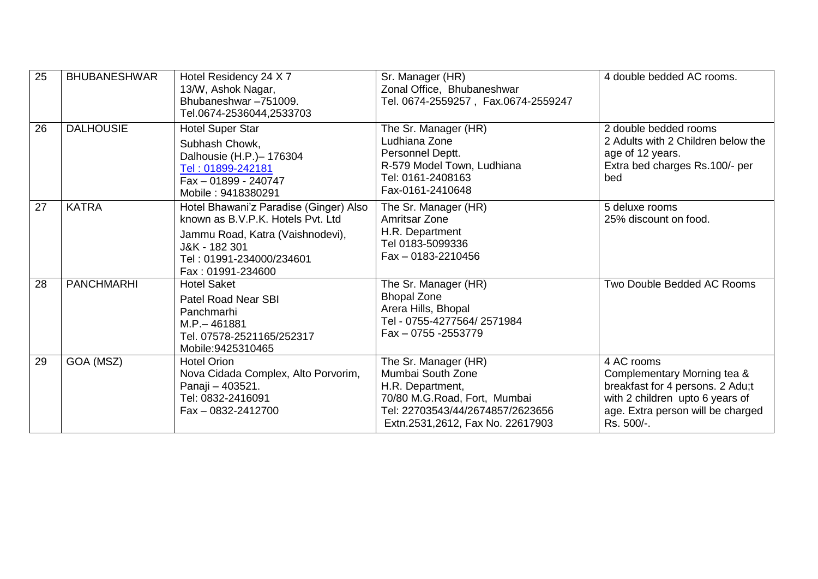| 25 | <b>BHUBANESHWAR</b> | Hotel Residency 24 X 7<br>13/W, Ashok Nagar,<br>Bhubaneshwar-751009.<br>Tel.0674-2536044,2533703                                                                                  | Sr. Manager (HR)<br>Zonal Office, Bhubaneshwar<br>Tel. 0674-2559257, Fax.0674-2559247                                                                                 | 4 double bedded AC rooms.                                                                                                                                           |
|----|---------------------|-----------------------------------------------------------------------------------------------------------------------------------------------------------------------------------|-----------------------------------------------------------------------------------------------------------------------------------------------------------------------|---------------------------------------------------------------------------------------------------------------------------------------------------------------------|
| 26 | <b>DALHOUSIE</b>    | <b>Hotel Super Star</b><br>Subhash Chowk,<br>Dalhousie (H.P.)- 176304<br>Tel: 01899-242181<br>Fax - 01899 - 240747<br>Mobile: 9418380291                                          | The Sr. Manager (HR)<br>Ludhiana Zone<br>Personnel Deptt.<br>R-579 Model Town, Ludhiana<br>Tel: 0161-2408163<br>Fax-0161-2410648                                      | 2 double bedded rooms<br>2 Adults with 2 Children below the<br>age of 12 years.<br>Extra bed charges Rs.100/- per<br>bed                                            |
| 27 | <b>KATRA</b>        | Hotel Bhawani'z Paradise (Ginger) Also<br>known as B.V.P.K. Hotels Pyt. Ltd<br>Jammu Road, Katra (Vaishnodevi),<br>J&K - 182 301<br>Tel: 01991-234000/234601<br>Fax: 01991-234600 | The Sr. Manager (HR)<br>Amritsar Zone<br>H.R. Department<br>Tel 0183-5099336<br>$Fax - 0183 - 2210456$                                                                | 5 deluxe rooms<br>25% discount on food.                                                                                                                             |
| 28 | <b>PANCHMARHI</b>   | <b>Hotel Saket</b><br><b>Patel Road Near SBI</b><br>Panchmarhi<br>M.P. - 461881<br>Tel. 07578-2521165/252317<br>Mobile: 9425310465                                                | The Sr. Manager (HR)<br><b>Bhopal Zone</b><br>Arera Hills, Bhopal<br>Tel - 0755-4277564/2571984<br>Fax - 0755 - 2553779                                               | Two Double Bedded AC Rooms                                                                                                                                          |
| 29 | GOA (MSZ)           | <b>Hotel Orion</b><br>Nova Cidada Complex, Alto Porvorim,<br>Panaji - 403521.<br>Tel: 0832-2416091<br>Fax - 0832-2412700                                                          | The Sr. Manager (HR)<br>Mumbai South Zone<br>H.R. Department,<br>70/80 M.G.Road, Fort, Mumbai<br>Tel: 22703543/44/2674857/2623656<br>Extn.2531,2612, Fax No. 22617903 | 4 AC rooms<br>Complementary Morning tea &<br>breakfast for 4 persons. 2 Adu;t<br>with 2 children upto 6 years of<br>age. Extra person will be charged<br>Rs. 500/-. |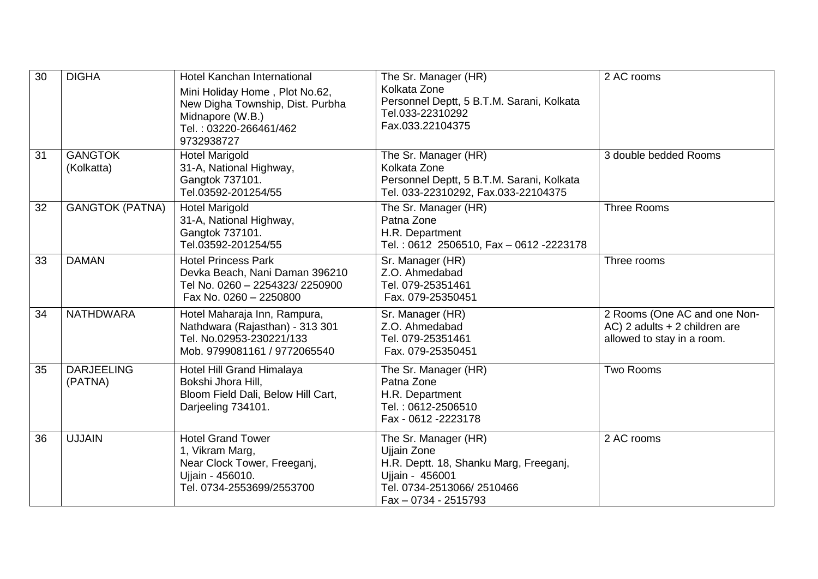| 30 | <b>DIGHA</b>                 | Hotel Kanchan International<br>Mini Holiday Home, Plot No.62,<br>New Digha Township, Dist. Purbha<br>Midnapore (W.B.)<br>Tel.: 03220-266461/462<br>9732938727 | The Sr. Manager (HR)<br>Kolkata Zone<br>Personnel Deptt, 5 B.T.M. Sarani, Kolkata<br>Tel.033-22310292<br>Fax.033.22104375                             | 2 AC rooms                                                                                  |
|----|------------------------------|---------------------------------------------------------------------------------------------------------------------------------------------------------------|-------------------------------------------------------------------------------------------------------------------------------------------------------|---------------------------------------------------------------------------------------------|
| 31 | <b>GANGTOK</b><br>(Kolkatta) | <b>Hotel Marigold</b><br>31-A, National Highway,<br>Gangtok 737101.<br>Tel.03592-201254/55                                                                    | The Sr. Manager (HR)<br>Kolkata Zone<br>Personnel Deptt, 5 B.T.M. Sarani, Kolkata<br>Tel. 033-22310292, Fax.033-22104375                              | 3 double bedded Rooms                                                                       |
| 32 | <b>GANGTOK (PATNA)</b>       | <b>Hotel Marigold</b><br>31-A, National Highway,<br>Gangtok 737101.<br>Tel.03592-201254/55                                                                    | The Sr. Manager (HR)<br>Patna Zone<br>H.R. Department<br>Tel.: 0612 2506510, Fax - 0612 -2223178                                                      | <b>Three Rooms</b>                                                                          |
| 33 | <b>DAMAN</b>                 | <b>Hotel Princess Park</b><br>Devka Beach, Nani Daman 396210<br>Tel No. 0260 - 2254323/ 2250900<br>Fax No. 0260 - 2250800                                     | Sr. Manager (HR)<br>Z.O. Ahmedabad<br>Tel. 079-25351461<br>Fax. 079-25350451                                                                          | Three rooms                                                                                 |
| 34 | <b>NATHDWARA</b>             | Hotel Maharaja Inn, Rampura,<br>Nathdwara (Rajasthan) - 313 301<br>Tel. No.02953-230221/133<br>Mob. 9799081161 / 9772065540                                   | Sr. Manager (HR)<br>Z.O. Ahmedabad<br>Tel. 079-25351461<br>Fax. 079-25350451                                                                          | 2 Rooms (One AC and one Non-<br>AC) 2 adults + 2 children are<br>allowed to stay in a room. |
| 35 | <b>DARJEELING</b><br>(PATNA) | Hotel Hill Grand Himalaya<br>Bokshi Jhora Hill,<br>Bloom Field Dali, Below Hill Cart,<br>Darjeeling 734101.                                                   | The Sr. Manager (HR)<br>Patna Zone<br>H.R. Department<br>Tel.: 0612-2506510<br>Fax - 0612 - 2223178                                                   | Two Rooms                                                                                   |
| 36 | <b>UJJAIN</b>                | <b>Hotel Grand Tower</b><br>1, Vikram Marg,<br>Near Clock Tower, Freeganj,<br>Ujjain - 456010.<br>Tel. 0734-2553699/2553700                                   | The Sr. Manager (HR)<br>Ujjain Zone<br>H.R. Deptt. 18, Shanku Marg, Freeganj,<br>Ujjain - 456001<br>Tel. 0734-2513066/2510466<br>Fax - 0734 - 2515793 | 2 AC rooms                                                                                  |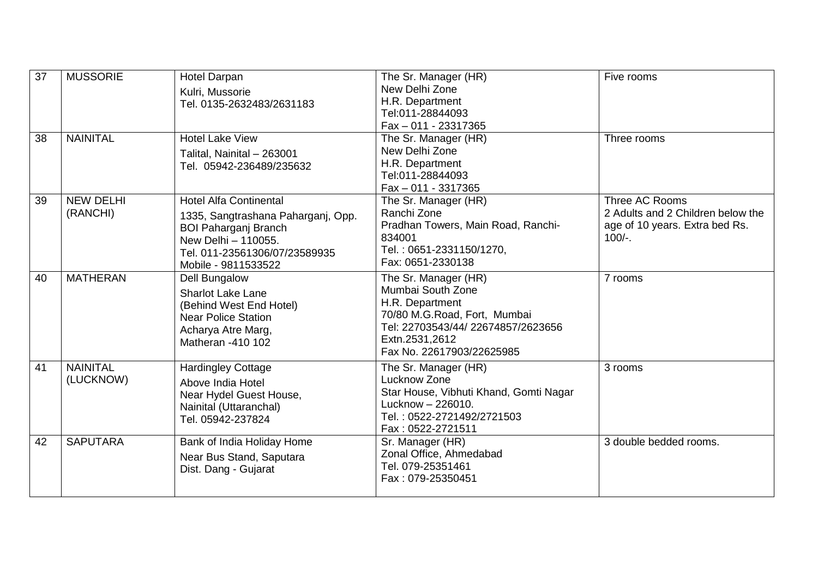| 37 | <b>MUSSORIE</b>              | <b>Hotel Darpan</b><br>Kulri, Mussorie<br>Tel. 0135-2632483/2631183                                                                                                               | The Sr. Manager (HR)<br>New Delhi Zone<br>H.R. Department<br>Tel:011-28844093<br>Fax - 011 - 23317365                                                                             | Five rooms                                                                                         |
|----|------------------------------|-----------------------------------------------------------------------------------------------------------------------------------------------------------------------------------|-----------------------------------------------------------------------------------------------------------------------------------------------------------------------------------|----------------------------------------------------------------------------------------------------|
| 38 | <b>NAINITAL</b>              | <b>Hotel Lake View</b><br>Talital, Nainital - 263001<br>Tel. 05942-236489/235632                                                                                                  | The Sr. Manager (HR)<br>New Delhi Zone<br>H.R. Department<br>Tel:011-28844093<br>Fax - 011 - 3317365                                                                              | Three rooms                                                                                        |
| 39 | <b>NEW DELHI</b><br>(RANCHI) | <b>Hotel Alfa Continental</b><br>1335, Sangtrashana Paharganj, Opp.<br><b>BOI Paharganj Branch</b><br>New Delhi - 110055.<br>Tel. 011-23561306/07/23589935<br>Mobile - 9811533522 | The Sr. Manager (HR)<br>Ranchi Zone<br>Pradhan Towers, Main Road, Ranchi-<br>834001<br>Tel.: 0651-2331150/1270,<br>Fax: 0651-2330138                                              | Three AC Rooms<br>2 Adults and 2 Children below the<br>age of 10 years. Extra bed Rs.<br>$100/-$ . |
| 40 | <b>MATHERAN</b>              | <b>Dell Bungalow</b><br><b>Sharlot Lake Lane</b><br>(Behind West End Hotel)<br><b>Near Police Station</b><br>Acharya Atre Marg,<br>Matheran -410 102                              | The Sr. Manager (HR)<br>Mumbai South Zone<br>H.R. Department<br>70/80 M.G.Road, Fort, Mumbai<br>Tel: 22703543/44/ 22674857/2623656<br>Extn.2531,2612<br>Fax No. 22617903/22625985 | 7 rooms                                                                                            |
| 41 | <b>NAINITAL</b><br>(LUCKNOW) | <b>Hardingley Cottage</b><br>Above India Hotel<br>Near Hydel Guest House,<br>Nainital (Uttaranchal)<br>Tel. 05942-237824                                                          | The Sr. Manager (HR)<br>Lucknow Zone<br>Star House, Vibhuti Khand, Gomti Nagar<br>Lucknow - 226010.<br>Tel.: 0522-2721492/2721503<br>Fax: 0522-2721511                            | 3 rooms                                                                                            |
| 42 | <b>SAPUTARA</b>              | Bank of India Holiday Home<br>Near Bus Stand, Saputara<br>Dist. Dang - Gujarat                                                                                                    | Sr. Manager (HR)<br>Zonal Office, Ahmedabad<br>Tel. 079-25351461<br>Fax: 079-25350451                                                                                             | 3 double bedded rooms.                                                                             |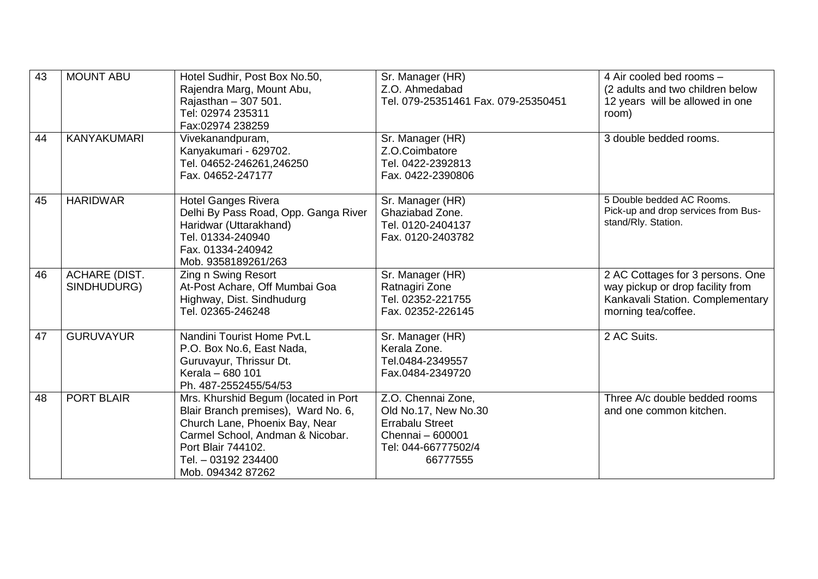| 43 | <b>MOUNT ABU</b>                    | Hotel Sudhir, Post Box No.50,<br>Rajendra Marg, Mount Abu,<br>Rajasthan - 307 501.<br>Tel: 02974 235311<br>Fax:02974 238259                                                                                         | Sr. Manager (HR)<br>Z.O. Ahmedabad<br>Tel. 079-25351461 Fax. 079-25350451                                                   | 4 Air cooled bed rooms -<br>(2 adults and two children below<br>12 years will be allowed in one<br>room)                        |
|----|-------------------------------------|---------------------------------------------------------------------------------------------------------------------------------------------------------------------------------------------------------------------|-----------------------------------------------------------------------------------------------------------------------------|---------------------------------------------------------------------------------------------------------------------------------|
| 44 | <b>KANYAKUMARI</b>                  | Vivekanandpuram,<br>Kanyakumari - 629702.<br>Tel. 04652-246261,246250<br>Fax. 04652-247177                                                                                                                          | Sr. Manager (HR)<br>Z.O.Coimbatore<br>Tel. 0422-2392813<br>Fax. 0422-2390806                                                | 3 double bedded rooms.                                                                                                          |
| 45 | <b>HARIDWAR</b>                     | <b>Hotel Ganges Rivera</b><br>Delhi By Pass Road, Opp. Ganga River<br>Haridwar (Uttarakhand)<br>Tel. 01334-240940<br>Fax. 01334-240942<br>Mob. 9358189261/263                                                       | Sr. Manager (HR)<br>Ghaziabad Zone.<br>Tel. 0120-2404137<br>Fax. 0120-2403782                                               | 5 Double bedded AC Rooms.<br>Pick-up and drop services from Bus-<br>stand/Rly. Station.                                         |
| 46 | <b>ACHARE (DIST.</b><br>SINDHUDURG) | Zing n Swing Resort<br>At-Post Achare, Off Mumbai Goa<br>Highway, Dist. Sindhudurg<br>Tel. 02365-246248                                                                                                             | Sr. Manager (HR)<br>Ratnagiri Zone<br>Tel. 02352-221755<br>Fax. 02352-226145                                                | 2 AC Cottages for 3 persons. One<br>way pickup or drop facility from<br>Kankavali Station. Complementary<br>morning tea/coffee. |
| 47 | <b>GURUVAYUR</b>                    | Nandini Tourist Home Pvt.L<br>P.O. Box No.6, East Nada,<br>Guruvayur, Thrissur Dt.<br>Kerala - 680 101<br>Ph. 487-2552455/54/53                                                                                     | Sr. Manager (HR)<br>Kerala Zone.<br>Tel.0484-2349557<br>Fax.0484-2349720                                                    | 2 AC Suits.                                                                                                                     |
| 48 | <b>PORT BLAIR</b>                   | Mrs. Khurshid Begum (located in Port<br>Blair Branch premises), Ward No. 6,<br>Church Lane, Phoenix Bay, Near<br>Carmel School, Andman & Nicobar.<br>Port Blair 744102.<br>Tel. - 03192 234400<br>Mob. 094342 87262 | Z.O. Chennai Zone,<br>Old No.17, New No.30<br><b>Errabalu Street</b><br>Chennai - 600001<br>Tel: 044-66777502/4<br>66777555 | Three A/c double bedded rooms<br>and one common kitchen.                                                                        |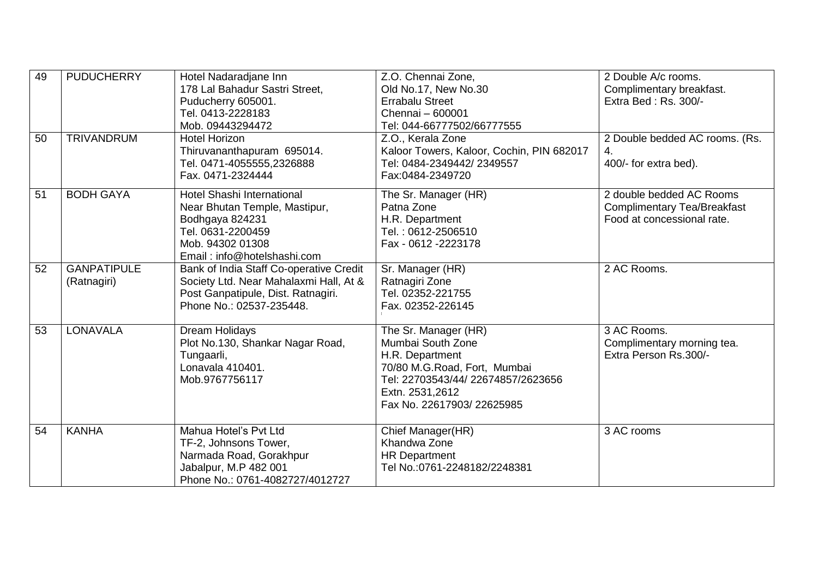| 49<br>50 | <b>PUDUCHERRY</b><br><b>TRIVANDRUM</b> | Hotel Nadaradjane Inn<br>178 Lal Bahadur Sastri Street,<br>Puducherry 605001.<br>Tel. 0413-2228183<br>Mob. 09443294472<br><b>Hotel Horizon</b><br>Thiruvananthapuram 695014.<br>Tel. 0471-4055555,2326888<br>Fax. 0471-2324444 | Z.O. Chennai Zone,<br>Old No.17, New No.30<br><b>Errabalu Street</b><br>Chennai - 600001<br>Tel: 044-66777502/66777555<br>Z.O., Kerala Zone<br>Kaloor Towers, Kaloor, Cochin, PIN 682017<br>Tel: 0484-2349442/2349557<br>Fax:0484-2349720 | 2 Double A/c rooms.<br>Complimentary breakfast.<br>Extra Bed: Rs. 300/-<br>2 Double bedded AC rooms. (Rs.<br>4.<br>400/- for extra bed). |
|----------|----------------------------------------|--------------------------------------------------------------------------------------------------------------------------------------------------------------------------------------------------------------------------------|-------------------------------------------------------------------------------------------------------------------------------------------------------------------------------------------------------------------------------------------|------------------------------------------------------------------------------------------------------------------------------------------|
| 51       | <b>BODH GAYA</b>                       | Hotel Shashi International<br>Near Bhutan Temple, Mastipur,<br>Bodhgaya 824231<br>Tel. 0631-2200459<br>Mob. 94302 01308<br>Email: info@hotelshashi.com                                                                         | The Sr. Manager (HR)<br>Patna Zone<br>H.R. Department<br>Tel.: 0612-2506510<br>Fax - 0612 - 2223178                                                                                                                                       | 2 double bedded AC Rooms<br><b>Complimentary Tea/Breakfast</b><br>Food at concessional rate.                                             |
| 52       | <b>GANPATIPULE</b><br>(Ratnagiri)      | Bank of India Staff Co-operative Credit<br>Society Ltd. Near Mahalaxmi Hall, At &<br>Post Ganpatipule, Dist. Ratnagiri.<br>Phone No.: 02537-235448.                                                                            | Sr. Manager (HR)<br>Ratnagiri Zone<br>Tel. 02352-221755<br>Fax. 02352-226145                                                                                                                                                              | 2 AC Rooms.                                                                                                                              |
| 53       | <b>LONAVALA</b>                        | Dream Holidays<br>Plot No.130, Shankar Nagar Road,<br>Tungaarli,<br>Lonavala 410401.<br>Mob.9767756117                                                                                                                         | The Sr. Manager (HR)<br>Mumbai South Zone<br>H.R. Department<br>70/80 M.G.Road, Fort, Mumbai<br>Tel: 22703543/44/ 22674857/2623656<br>Extn. 2531,2612<br>Fax No. 22617903/22625985                                                        | 3 AC Rooms.<br>Complimentary morning tea.<br>Extra Person Rs.300/-                                                                       |
| 54       | <b>KANHA</b>                           | Mahua Hotel's Pvt Ltd<br>TF-2, Johnsons Tower,<br>Narmada Road, Gorakhpur<br>Jabalpur, M.P 482 001<br>Phone No.: 0761-4082727/4012727                                                                                          | Chief Manager(HR)<br>Khandwa Zone<br><b>HR Department</b><br>Tel No.:0761-2248182/2248381                                                                                                                                                 | 3 AC rooms                                                                                                                               |